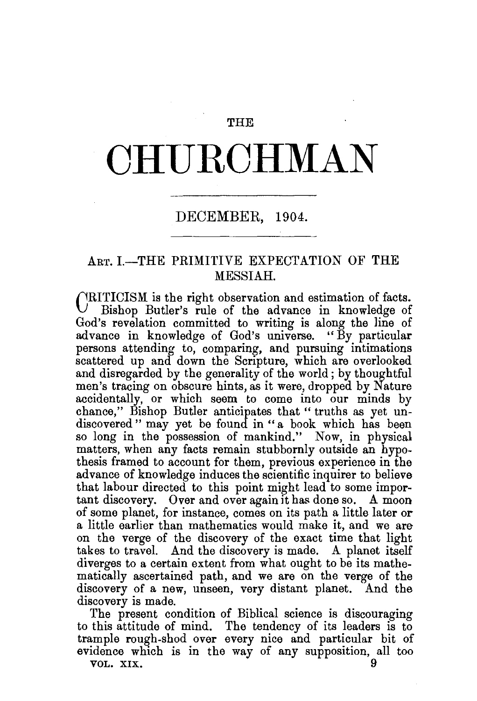#### THE

# **CHURCHMAN**

## DECEMBER, 1904.

## ART. I.-THE PRIMITIVE EXPECTATION OF THE MESSIAH.

CRITICISM is the right observation and estimation of facts. Bishop Butler's rule of the advance in knowledge of God's revelation committed to writing is along the line of advance in knowledge of God's universe. "By particular persons attending to, comparing, and pursuing intimations scattered up and down the Scripture, which are overlooked and disregarded by the generality of the world ; by thoughtful men's tracing on obscure hints, as it were, dropped by Nature accidentally, or which seem to come into our minds by chance," Bishop Butler anticipates that "truths as yet undiscovered" may yet be found in "a book which has been so long in the possession of mankind." Now, in physical matters, when any facts remain stubbornly outside an hypothesis framed to account for them, previous experience in the advance of knowledge induces the scientific inquirer to believe that labour directed to this point might lead to some important discovery. Over and over again it has done so. A moon of some planet, for instance, comes on its path a little later or a little earlier than mathematics would make it, and we are on the verge of the discovery of the exact time that light takes to travel. And the discovery is made. A planet itself diverges to a certain extent from what ought to be its mathematically ascertained path, and we are on the verge of the discovery of a new, unseen, very distant planet. And the discovery is made.

The present condition of Biblical science is discouraging to this attitude of mind. The tendency of its leaders is to trample rough-shod over every nice and particular bit of evidence which is in the way of any supposition, all too

VOL. XIX.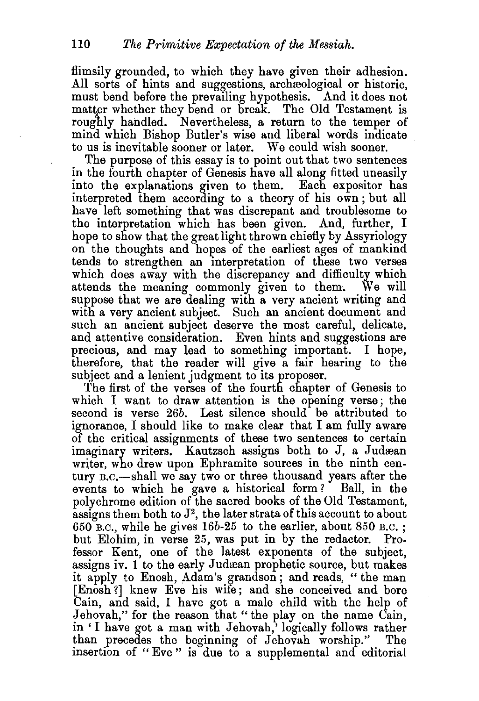flimsily grounded, to which they have given their adhesion. All sorts of hints and suggestions, archeological or historic, must bend before the prevailing hypothesis. And it does not matter whether they bend or break. The Old Testament is roughly handled. Nevertheless, a return to the temper of mind which Bishop Butler's wise and liberal words indicate to us is inevitable sooner or later. We could wish sooner.

The purpose of this essay is to point out that two sentences in the fourth chapter of Genesis have all along fitted uneasily into the explanations given to them. Each expositor has interpreted them according to a theory of his own ; but all have left something that was discrepant and troublesome to the interpretation which has been given. And, further, I hope to show that the great light thrown chiefly by Assyriology on the thoughts and hopes of the earliest ages of mankind tends to strengthen an interpretation of these two verses which does away with the discrepancy and difficulty which attends the meaning commonly given to them. We will suppose that we are dealing with a very ancient writing and with a very ancient subject. Such an ancient document and such an ancient subject deserve the most careful, delicate, and attentive consideration. Even hints and suggestions are precious, and may lead to something important. I hope, therefore, that the reader will give a fair hearing to the subject and a lenient judgment to its proposer.

The first of the verses of the fourth chapter of Genesis to which I want to draw attention is the opening verse; the second is verse *26b.* Lest silence should be attributed to ignorance, I should like to make clear that I am fully aware of the critical assignments of these two sentences to certain imaginary writers. Kautzsch assigns both to J, a Judæan writer, who drew upon Ephramite sources in the ninth century B.C.-shall we say two or three thousand years after the events to which he gave a historical form? Ball, in the polychrome edition of the sacred books of the Old Testament, assigns them both to  $J^2$ , the later strata of this account to about  $650$  B.C., while he gives  $16b-25$  to the earlier, about  $850$  B.C.; but Elohim, in verse 25, was put in by the redactor. Professor Kent, one of the latest exponents of the subject, assigns iv. 1 to the early Judæan prophetic source, but makes it apply to Enosh, Adam's grandson; and reads, " the man [Enosh ?] knew Eve his wife; and she conceived and bore Cain, and said, I have got a male child with the help of Jehovah," for the reason that "the play on the name Cain, in 'I have got a man with Jehovah,' logically follows rather than precedes the beginning of Jehovah worship." insertion of "Eve" is due to a supplemental and editorial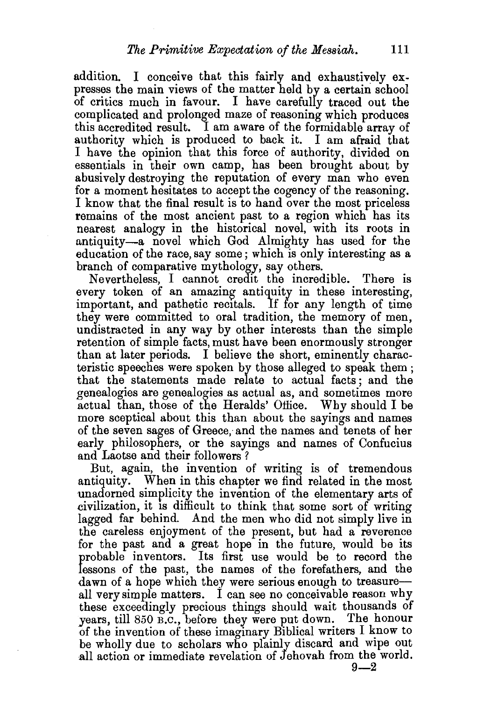addition. I conceive that this fairly and exhaustively expresses the main views of the matter held by a certain school of critics much in favour. I have carefully traced out the complicated and prolonged maze of reasoning which produces this accredited result. I am aware of the formidable array of authority which is produced to back it. I am afraid that I have the opinion that this force of authority, divided on essentials in their own camp, has been brought about by abusively destroying the reputation of every man who even for a moment hesitates to accept the cogency of the reasoning. I know that the final result is to hand over the most priceless remains of the most ancient past to a region which has its nearest analogy in the historical novel, with its roots in antiquity-a novel which God Almighty has used for the education of the race, say some; which is only interesting as a branch of comparative mythology, say others.

Nevertheless, I cannot credit the incredible. There is every token of an amazing antiquity in these interesting, important, and pathetic recitals. If for any length of time they were committed to oral tradition, the memory of men, undistracted in any way by other interests than the simple retention of simple facts, must have been enormously stronger than at later periods. I believe the short, eminently characteristic speeches were spoken by those alleged to speak them ; that the statements made relate to actual facts ; and the genealogies are genealogies as actual as, and sometimes more actual than, those of the Heralds' Office. Why should I be more sceptical about this than about the sayings and names of the seven sages of Greece, and the names and tenets of her early philosophers, or the sayings and names of Confucius and Laotse and their followers ?

But, again, the invention of writing is of tremendous antiquity. When in this chapter we find related in the most unadorned simplicity the invention of the elementary arts of civilization, it 1s difficult to think that some sort of writing lagged far behind. And the men who did not simply live in the careless enjoyment of the present, but had a reverence for the past and a great hope in the future, would be its probable inventors. Its first use would be to record the lessons of the past, the names of the forefathers, and the dawn of a hope which they were serious enough to treasureall very simple matters. I can see no conceivable reason why these exceedingly precious things should wait thousands of years, till 850 B.C., before they were put down. The honour of the invention of these imaginary Biblical writers I know to be wholly due to scholars who plainly discard and wipe out all action or immediate revelation of Jehovah from the world.

 $9 - 2$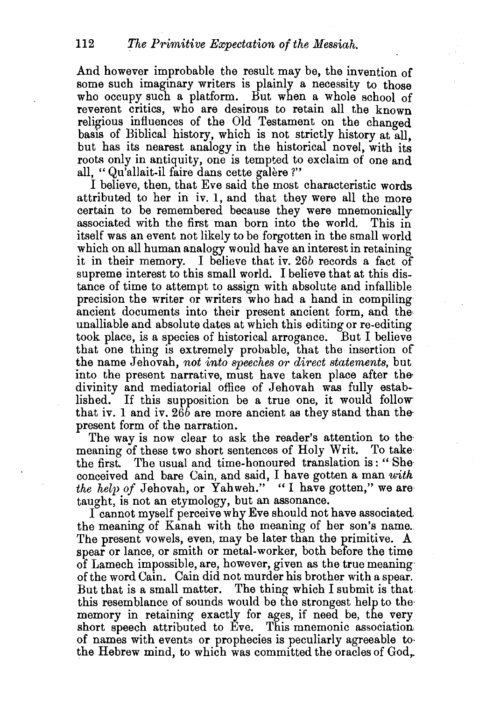And however improbable the result may be, the invention of some such imaginary writers is plainly a necessity to those who occupy such a platform. But when a whole school of reverent critics, who are desirous to retain all the known religious influences of the Old Testament on the changed basis of Biblical history, which is not strictly history at all, but has its nearest analogy in the historical novel, with its roots only in antiquity, one is tempted to exclaim of one and all, " Qu'allait-il faire dans cette galere ?"

I believe, then, that Eve said the most characteristic words attributed to her in iv. 1, and that they were all the more certain to be remembered because they were mnemonically associated with the first man born into the world. This in itself was an event not likely to be forgotten in the small world which on all human analogy would have an interest in retaining it in their memory. I believe that iv. 26b records a fact of supreme interest to this small world. I believe that at this distance of time to attempt to assign with absolute and infallible precision the writer or writers who had a hand in compiling ancient documents into their present ancient form, and the unalliable and absolute dates at which this editing or re-editing took place, is a species of historical arrogance. But I believe that one thing is extremely probable, that the insertion of the name Jehovah, *not into speeches or direct statements,* but into the present narrative, must have taken place after the divinity and mediatorial office of Jehovah was fully established. If this supposition be a true one, it would follow that iv. 1 and iv.  $26\overline{b}$  are more ancient as they stand than the present form of the narration.

The way is now clear to ask the reader's attention to the meaning of these two short sentences of Holy Writ. To take· the first. The usual and time-honoured translation is : " She· conceived and bare Cain, and said, I have gotten a man *with the help of Jehovah, or Yahweh.*" "I have gotten," we are taught, is not an etymology, but an assonance.

I cannot myself perceive why Eve should not have associated. the meaning of Kanah with the meaning of her son's name. The present vowels, even, may be later than the primitive. A spear or lance, or smith or metal-worker, both before the time of Lamech impossible, are, however, given as the true meaning of the word Cain. Cain did not murder his brother with a spear. But that is a small matter. The thing which I submit is that this resemblance of sounds would be the strongest help to the· memory in retaining exactly for ages, if need be, the very short speech attributed to Eve. This mnemonic association of names with events or prophecies is peculiarly agreeable to· the Hebrew mind, to which was committed the oracles of God,.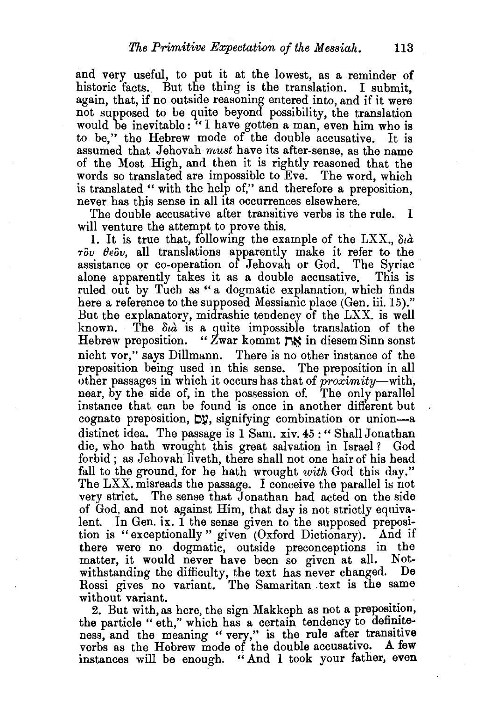and very useful, to put it at the lowest, as a reminder of historic facts. But the thing is the translation. I submit, again, that, if no outside reasoning entered into, and if it were not supposed to be quite beyond possibility, the translation would be inevitable: "I have gotten a man, even him who is to be," the Hebrew mode of the double accusative. It is assumed that Jehovah *must* have its after-sense, as the name of the Most High, and then it is rightly reasoned that the words so translated are impossible to Eve. The word, which is translated " with the help of," and therefore a preposition, never has this sense in all its occurrences elsewhere.

The double accusative after transitive verbs is the rule. I will venture the attempt to prove this.

1. It is true that, following the example of the  $\text{LXX}$ ,  $\delta t \dot{a}$  $\tau \delta \nu$   $\theta \epsilon \delta \nu$ , all translations apparently make it refer to the assistance or co-operation of Jehovah or God. The Syriac alone apparently takes it as a double accusative. This is ruled out by Tuch as " a dogmatic explanation, which finds here a reference to the supposed Messianic place (Gen. iii. 15)." But the explanatory, midrashic tendency of the LXX. is well known. The *otd.* is a quite impossible translation of the Hebrew preposition. " Zwar kommt  $\sum$ in diesem Sinn sonst nicht vor," says Dillmann. There is no other instance of the preposition being used m this sense. The preposition in all other passages in which it occurs has that of *proximity-with,*  near, by the side of, in the possession of. The only parallel instance that can be found is once in another different but cognate preposition,  $D\mathcal{Y}$ , signifying combination or union-a distinct idea. The passage is 1 Sam. xiv. 45 : "Shall Jonathan die, who hath wrought this great salvation in Israel ? God forbid; as Jehovah liveth, there shall not one hair of his head fall to the ground, for he hath wrought *with* God this day." The LXX. misreads the passage. I conceive the parallel is not very strict. The sense that Jonathan had acted on the side of God, and not against Him, that day is not strictly equivalent. In Gen. ix. 1 the sense given to the supposed preposition is "exceptionally" given (Oxford Dictionary). And if there were no dogmatic, outside preconceptions in the matter, it would never have been so given at all. Notwithstanding the difficulty, the text has never changed. De Rossi gives no variant. The Samaritan . text is the same without variant.

2. But with, as here, the sign Makkeph as not a preposition, the particle "eth," which has a certain tendency to definiteness, and the meaning " very," is the rule after transitive verbs as the Hebrew mode of the double accusative. A few instances will be enough. " And I took your father, even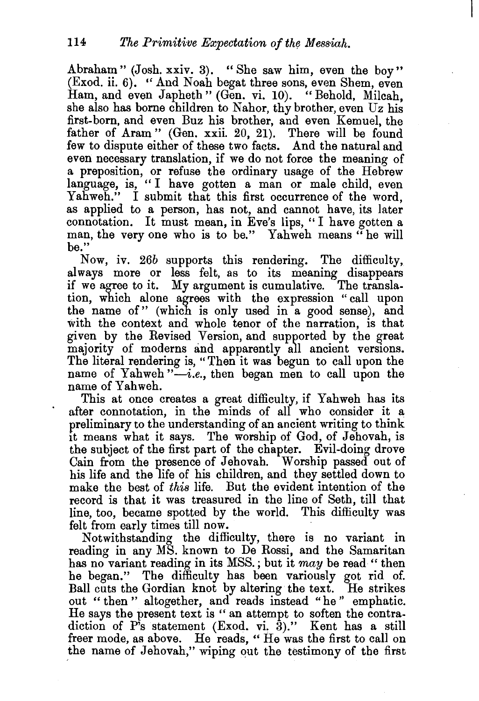Abraham" (Josh. xxiv. 3). "She saw him, even the boy" (Exod. ii. 6). "And Noah begat three sons, even Shem, even Ham, and even Japheth" (Gen. vi. 10). "Behold, Milcah, she also has borne children to Nahor, thy brother, even Uz his first-born, and even Buz his brother, and even Kemuel, the father of Aram" (Gen. xxii. 20, 21). There will be found few to dispute either of these two facts. And the natural and even necessary translation, if we do not force the meaning of a preposition, or refuse the ordinary usage of the Hebrew language, is, "I have gotten a man or male child, even Yahweh." I submit that this first occurrence of the word, as applied to a person, has not, and cannot have, its later connotation. It must mean, in Eve's lips, " I have gotten a man, the very one who is to be." Yahweh means "he will be."

Now, iv. *26b* supports this rendering. The difficulty, always more or less felt, as to its meaning disappears if we agree to it. My argument is cumulative. The translation, which alone agrees with the expression "call upon the name of" (which is only used in a good sense), and with the context and whole tenor of the narration, is that given by the Revised Version, and supported by the great majority of moderns and apparently all ancient versions. The literal rendering is, "Then it was begun to call upon the name of Yahweh "-*i.e.*, then began men to call upon the name of Yahweh.

This at once creates a great difficulty, if Yahweh has its after connotation, in the minds of all who consider it a preliminary to the understanding of an ancient writing to think it means what it says. The worship of God, of Jehovah, is the subject of the first part of the chapter. Evil-doing drove Cain from the presence of Jehovah. Worship passed out of his life and the life of his children, and they settled down to make the best of *this* life. But the evident intention of the record is that it was treasured in the line of Seth, till that line, too, became spotted by the world. This difficulty was felt from early times till now.

Notwithstanding the difficulty, there is no variant in reading in any MS. known to De Rossi, and the Samaritan has no variant reading in its MSS. ; but it *may* be read " then he began." The difficulty has been variously got rid of. Ball cuts the Gordian knot by altering the text. He strikes out "then" altogether, and reads instead "he" emphatic. He says the present text is " an attempt to soften the contradiction of P's statement (Exod. vi. 3)." Kent has a still freer mode, as above. He reads, "He was the first to call on the name of Jehovah," wiping out the testimony of the first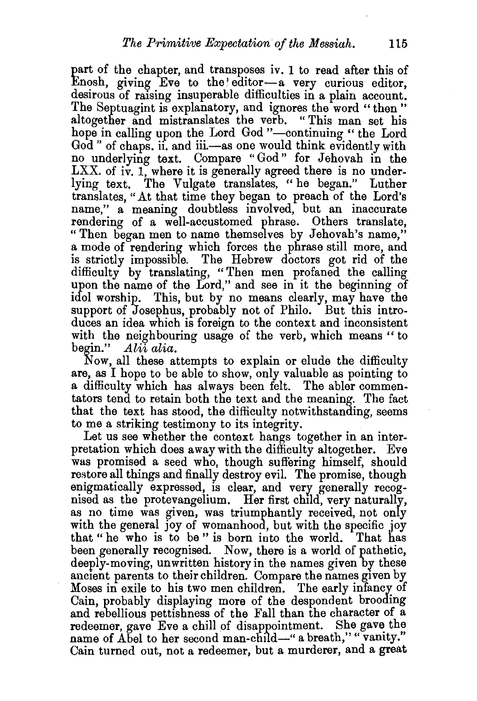part of the chapter, and transposes iv. 1 to read after this of Enosh, giving Eve to the editor-a very curious editor, desirous of raising insuperable difficulties in a plain account. The Septuagint is explanatory, and ignores the word "then" altogether and mistranslates the verb. " This man set his hope in calling upon the Lord God "-continuing" the Lord God" of chaps, ii, and iii.—as one would think evidently with no underlying text. Compare "God" for Jehovah in the  $LXX$ . of iv. 1, where it is generally agreed there is no underlying text. The Vulgate translates, "he began." Luther translates, "At that time they began to preach of the Lord's name," a meaning doubtless involved, but an inaccurate rendering of a well-accustomed phrase. Others translate, "Then began men to name themselves by Jehovah's name," a mode of rendering which forces the phrase still more, and is strictly impossible. The Hebrew doctors got rid of the difficulty by translating, "Then men profaned the calling upon the name of the Lord," and see in it the beginning of idol worship. This, but by no means clearly, may have the support of Josephus, probably not of Philo. But this introduces an idea which is foreign to the context and inconsistent with the neighbouring usage of the verb, which means "to begin." *Alii alia.* 

Now, all these attempts to explain or elude the difficulty are, as I hope to be able to show, only valuable as pointing to a difficulty which has always been felt. The abler commentators tend to retain both the text and the meaning. The fact that the text has stood, the difficulty notwithstanding, seems to me a striking testimony to its integrity.

Let us see whether the context hangs together in an interpretation which does away with the difficulty altogether. Eve was promised a seed who, though suffering himself, should restore all things and finally destroy evil. The promise, though enigmatically expressed, is clear, and very generally recognised as the protevangelium. Her first child, very naturally, as no time was given, was triumphantly received, not only with the general joy of womanhood, but with the specific joy that "he who is to be" is born into the world. That has that "he who is to be" is born into the world. been generally recognised. Now, there is a world of pathetic, deeply-moving, unwritten history in the names given by these ancient parents to their children. Compare the names given by Moses in exile to his two men children. The early infancy of Cain, probably displaying more of the despondent brooding and rebellious pettishness of the Fall than the character of a redeemer, gave Eve a chill of disappointment. She gave the name of Abel to her second man-child-" a breath," "vanity." Cain turned out, not a redeemer, but a murderer, and a great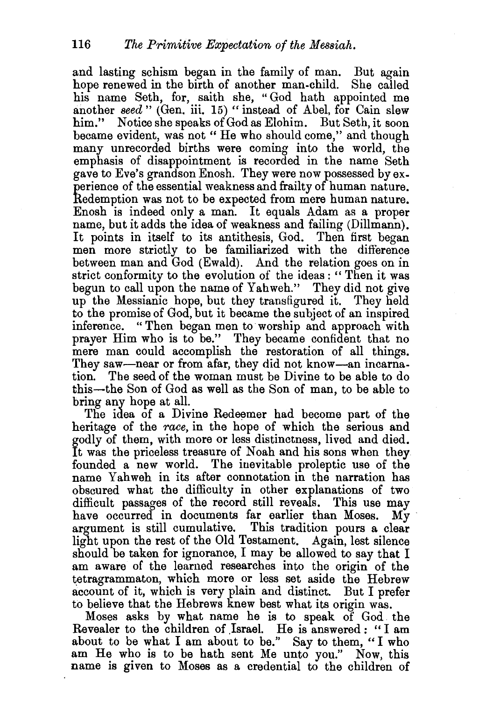and lasting schism began in the family of man. But again hope renewed in the birth of another man-child. She called his name Seth, for, saith she, "God hath appointed me another *seed* " (Gen. iii. 15) " instead of Abel, for Cain slew him." Notice she speaks of God as Elohim. But Seth, it soon became evident, was not "He who should come," and though many unrecorded births were coming into the world, the emphasis of disappointment is recorded in the name Seth gave to Eve's grandson Enosh. They were now possessed by experience of the essential weakness and frailty of human nature. Redemption was not to be expected from mere human nature. Enosh is indeed only a man. It equals Adam as a proper name, but it adds the idea of weakness and failing (Dillmann). It points in itself to its antithesis, God. Then first began men more strictly to be familiarized with the difference between man and God (Ewald). And the relation goes on in strict conformity to the evolution of the ideas : " Then it was begun to call upon the name of Yahweh." They did not give up the Messianic hope, but they transfigured it. They held to the promise of God, but it became the subject of an inspired inference. " Then began men to worship and approach with prayer Him who is to be." They became confident that no mere man could accomplish the restoration of all things. They saw—near or from afar, they did not know—an incarnation. The seed of the woman must be Divine to be able to do this-the Son of God as well as the Son of man, to be able to bring any hope at all.

The idea of a Divine Redeemer had become part of the heritage of the *race,* in the hope of which the serious and godly of them, with more or less distinctness, lived and died. It was the priceless treasure of Noah and his sons when they founded a new world. The inevitable proleptic use of the name Yahweh in its after connotation in the narration has obscured what the difficulty in other explanations of two difficult passages of the record still reveals. This use may have occurred in documents far earlier than Moses. My argument is still cumulative. This tradition pours a clear light upon the rest of the Old Testament. Again, lest silence should be taken for ignorance, I may be allowed to say that I am aware of the learned researches into the origin of the tetragrammaton, which more or less set aside the Hebrew account of it, which is very plain and distinct. But I prefer to believe that the Hebrews knew best what its origin was.

Moses asks by what name he is to speak of God the Revealer to the children of Israel. He is answered : "I am about to be what I am about to be." Say to them, "I who am He who is to be hath sent Me unto you." Now, this name is given to Moses as a credential to the children of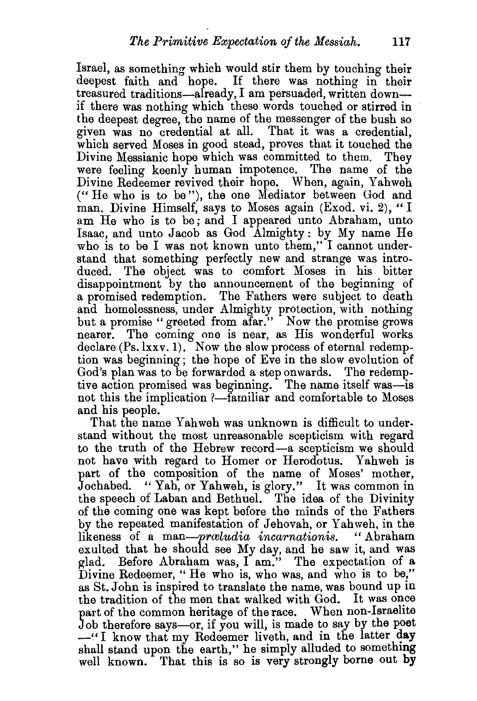Israel, as something which would stir them by touching their deepest faith and hope. If there was nothing in their treasured traditions-already, I am persuaded, written downif there was nothing which these words touched or stirred in the deepest degree, the name of the messenger of the bush so given was no credential at all. That it was a credential. which served Moses in good stead, proves that it touched the Divine Messianic hope which was committed to them. They were feeling keenly human impotence. The name of the Divine Redeemer revived their hope. When, again, Yahweh (" He who is to be"), the one Mediator between God and man. Divine Himself, says to Moses again (Exod. vi. 2), "I am He who is to be; and I appeared unto Abraham, unto Isaac, and unto Jacob as God Almighty: by My name He who is to be I was not known unto them," I cannot understand that something perfectly new and strange was introduced. The object was to comfort Moses in his bitter disappointment by the announcement of the beginning of a promised redemption. The Fathers were subject to death and homelessness, under Almighty protection, with nothing but a promise " greeted from afar." Now the promise grows nearer. The coming one is near, as His wonderful works declare (Ps. lxxv. 1). Now the slow process of eternal redemption was beginning; the hope of Eve in the slow evolution of God's plan was to be forwarded a step onwards. The redemptive action promised was beginning. The name itself was-is not this the implication ?—familiar and comfortable to Moses and his people.

That the name Yahweh was unknown is difficult to understand without the most unreasonable scepticism with regard to the truth of the Hebrew record-a scepticism we should not have with regard to Homer or Herodotus. Yahweh is part of the composition of the name of Moses' mother, Jochabed. "Yah, or Yahweh, is glory." It was common in the speech of Laban and Bethuel. The idea of the Divinity of the coming one was kept before the minds of the Fathers by the repeated manifestation of Jehovah, or Yahweh, in the likeness of a *man-prwludia incarnationis.* "Abraham exulted that he should see My day, and he saw it, and was glad. Before Abraham was, I am." The expectation of a Divine Redeemer, "He who is, who was, and who is to be," as St.John is inspired to translate the name, was bound up in the tradition of the men that walked with God. It was once part of the common heritage of the race. When non-Israelite Job therefore says—or, if you will, is made to say by the poet  $-$ <sup> $\cdot$ </sup>I know that my Redeemer liveth, and in the latter day shall stand upon the earth," he simply alluded to something well known. That this is so is very strongly borne out **by**